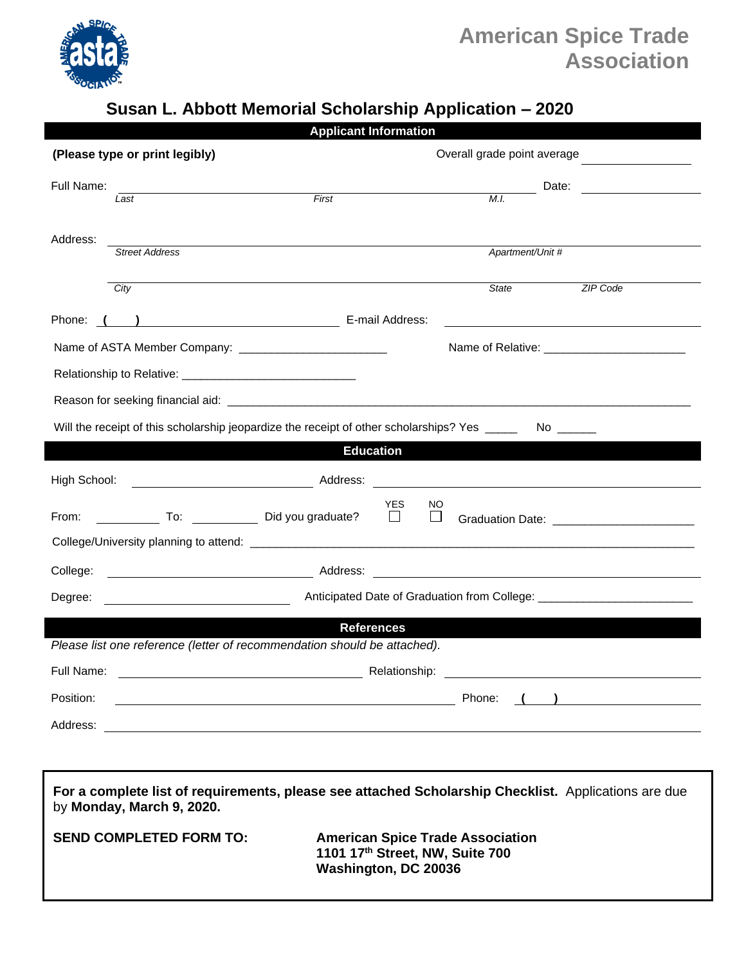

## **American Spice Trade Association**

## **Susan L. Abbott Memorial Scholarship Application – 2020**

| <b>Applicant Information</b>                                                                         |                                                                         |                                                                                                                                                                                                                                                       |
|------------------------------------------------------------------------------------------------------|-------------------------------------------------------------------------|-------------------------------------------------------------------------------------------------------------------------------------------------------------------------------------------------------------------------------------------------------|
|                                                                                                      | (Please type or print legibly)                                          | Overall grade point average                                                                                                                                                                                                                           |
| Full Name:                                                                                           |                                                                         | Date:                                                                                                                                                                                                                                                 |
|                                                                                                      | First<br>Last                                                           | M.I.                                                                                                                                                                                                                                                  |
|                                                                                                      |                                                                         |                                                                                                                                                                                                                                                       |
| Address:                                                                                             | <b>Street Address</b>                                                   | Apartment/Unit #                                                                                                                                                                                                                                      |
|                                                                                                      |                                                                         |                                                                                                                                                                                                                                                       |
|                                                                                                      | City                                                                    | State<br>ZIP Code                                                                                                                                                                                                                                     |
|                                                                                                      | Phone: ( ) Decree Density of Density Phone: ( ) Decree Density Address: |                                                                                                                                                                                                                                                       |
|                                                                                                      |                                                                         |                                                                                                                                                                                                                                                       |
|                                                                                                      |                                                                         |                                                                                                                                                                                                                                                       |
|                                                                                                      |                                                                         |                                                                                                                                                                                                                                                       |
| Will the receipt of this scholarship jeopardize the receipt of other scholarships? Yes _____<br>No   |                                                                         |                                                                                                                                                                                                                                                       |
| <b>Education</b>                                                                                     |                                                                         |                                                                                                                                                                                                                                                       |
| High School:                                                                                         |                                                                         |                                                                                                                                                                                                                                                       |
|                                                                                                      |                                                                         | YES.<br>NO                                                                                                                                                                                                                                            |
| From:                                                                                                | To: Did you graduate?                                                   | $\Box$<br>$\Box$<br>Graduation Date: _________________________                                                                                                                                                                                        |
|                                                                                                      |                                                                         |                                                                                                                                                                                                                                                       |
| College:                                                                                             |                                                                         |                                                                                                                                                                                                                                                       |
| Degree:                                                                                              |                                                                         |                                                                                                                                                                                                                                                       |
| <b>References</b>                                                                                    |                                                                         |                                                                                                                                                                                                                                                       |
| Please list one reference (letter of recommendation should be attached).                             |                                                                         |                                                                                                                                                                                                                                                       |
| Full Name:                                                                                           |                                                                         | Relationship:<br><u>and the contract of the contract of the contract of the contract of the contract of the contract of the contract of the contract of the contract of the contract of the contract of the contract of the contract of the contr</u> |
| Position:                                                                                            | <u> 1980 - Johann Stoff, amerikansk politiker (* 1900)</u>              | Phone:                                                                                                                                                                                                                                                |
| Address:                                                                                             |                                                                         |                                                                                                                                                                                                                                                       |
|                                                                                                      |                                                                         |                                                                                                                                                                                                                                                       |
|                                                                                                      |                                                                         |                                                                                                                                                                                                                                                       |
| For a complete list of requirements, please see attached Scholarship Checklist. Applications are due |                                                                         |                                                                                                                                                                                                                                                       |
| by Monday, March 9, 2020.                                                                            |                                                                         |                                                                                                                                                                                                                                                       |

**SEND COMPLETED FORM TO: American Spice Trade Association 1101 17th Street, NW, Suite 700 Washington, DC 20036**